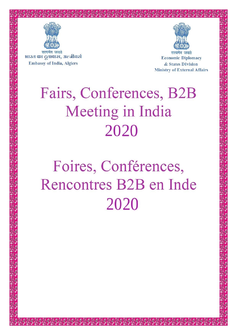

भारत का द्रुतावास, अल्जीयर्स **Embassy of India, Algiers** 



**Economic Diplomacy** & States Division **Ministry of External Affairs** 

# Fairs, Conferences, B2B **Meeting in India** 2020

# Foires, Conférences, Rencontres B2B en Inde 2020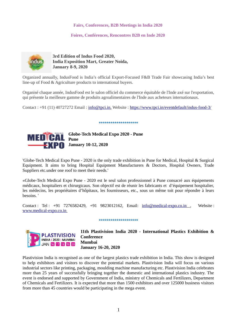### **Fairs, Conferences, B2B Meetings in India 2020**

### **Foires, Conférences, Rencontres B2B en Inde 2020**



**3rd Edition of Indus Food 2020, India Exposition Mart, Greater Noida, January 8-9, 2020** 

Organized annually, IndusFood is India's official Export-Focused F&B Trade Fair showcasing India's best line-up of Food & Agriculture products to international buyers.

Organisé chaque année, IndusFood est le salon officiel du commerce équitable de l'Inde axé sur l'exportation, qui présente la meilleure gamme de produits agroalimentaires de l'Inde aux acheteurs internationaux.

Contact : +91 (11) 40727272 Email : [info@tpci.in,](mailto:info@tpci.in) Website :<https://www.tpci.in/eventdefault/indus-food-3/>

#### \*\*\*\*\*\*\*\*\*\*\*\*\*\*\*\*\*\*



'Globe-Tech Medical Expo Pune - 2020 is the only trade exhibition in Pune for Medical, Hospital & Surgical Equipment. It aims to bring Hospital Equipment Manufacturers & Doctors, Hospital Owners, Trade Suppliers etc.under one roof to meet their needs.'

«Globe-Tech Medical Expo Pune - 2020 est le seul salon professionnel à Pune consacré aux équipements médicaux, hospitaliers et chirurgicaux. Son objectif est de réunir les fabricants et d'équipement hospitalier, les médecins, les propriétaires d'hôpitaux, les fournisseurs, etc., sous un même toit pour répondre à leurs besoins. '

Contact : Tel : +91 7276582429, +91 9823012162, Email: [info@medical-expo.co.in](mailto:info@medical-expo.co.in) , Website :  [www.medical-expo.co.in](http://www.medical-expo.co.in/)

\*\*\*\*\*\*\*\*\*\*\*\*\*\*\*\*\*\*\*\*



**11th Plastivision India 2020 - International Plastics Exhibition & Conference Mumbai January 16-20, 2020**

Plastivision India is recognised as one of the largest plastics trade exhibition in India. This show is designed to help exhibitors and visitors to discover the potential markets. Plastivision India will focus on various industrial sectors like printing, packaging, moulding machine manufacturing etc. Plastivision India celebrates more than 25 years of successfully bringing together the domestic and international plastics industry. The event is endorsed and supported by Government of India, ministry of Chemicals and Fertilizers, Department of Chemicals and Fertilizers. It is expected that more than 1500 exhibitors and over 125000 business visitors from more than 45 countries would be participating in the mega event.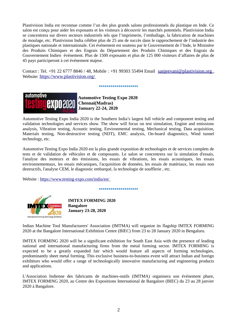Plastivision India est reconnue comme l'un des plus grands salons professionnels du plastique en Inde. Ce salon est conçu pour aider les exposants et les visiteurs à découvrir les marchés potentiels. Plastivision India se concentrera sur divers secteurs industriels tels que l'imprimerie, l'emballage, la fabrication de machines de moulage, etc. Plastivision India célèbre plus de 25 ans de succès dans le rapprochement de l'industrie des plastiques nationale et internationale. Cet événement est soutenu par le Gouvernement de l'Inde, le Ministère des Produits Chimiques et des Engrais du Département des Produits Chimiques et des Engrais du Gouvernement Indien événement. Plus de 1500 exposants et plus de 125 000 visiteurs d'affaires de plus de 45 pays participeront à cet événement majeur.

Contact : Tel. +91 22 6777 8846 / 48, Mobile : +91 99303 55494 Email sanjeevani@plastivision.org, Website: <https://www.plastivision.org/>

#### \*\*\*\*\*\*\*\*\*\*\*\*\*\*\*\*\*\*\*\*



 **Automotive Testing Expo 2020 Chennai(Madras) January 22-24, 2020**

Automotive Testing Expo India 2020 is the Southern India's largest full vehicle and component testing and validation technologies and services show. The show will focus on test simulation, Engine and emissions analysis, Vibration testing, Acoustic testing, Environmental testing, Mechanical testing, Data acquisition, Materials testing, Non-destructive testing (NDT), EMC analysis, On-board diagnostics, Wind tunnel technology, etc.

Automotive Testing Expo India 2020 est la plus grande exposition de technologies et de services complets de tests et de validation de véhicules et de composants. Le salon se concentrera sur la simulation d'essais, l'analyse des moteurs et des émissions, les essais de vibrations, les essais acoustiques, les essais environnementaux, les essais mécaniques, l'acquisition de données, les essais de matériaux, les essais non destructifs, l'analyse CEM, le diagnostic embarqué, la technologie de soufflerie , etc.

Website :<https://www.testing-expo.com/india/en/>

\*\*\*\*\*\*\*\*\*\*\*\*\*\*\*\*\*\*\*



**IMTEX FORMING 2020 Bangalore January 23-28, 2020**

Indian Machine Tool Manufacturers' Association (IMTMA) will organize its flagship IMTEX FORMING 2020 at the Bangalore International Exhibition Centre (BIEC) from 23 to 28 January 2020 in Bengaluru.

IMTEX FORMING 2020 will be a significant exhibition for South East Asia with the presence of leading national and international manufacturing firms from the metal forming sector. IMTEX FORMING is expected to be a greatly expanded fair which would feature all aspects of forming technologies, predominantly sheet metal forming. This exclusive business-to-business event will attract Indian and foreign exhibitors who would offer a range of technologically innovative manufacturing and engineering products and applications.

L'Association Indienne des fabricants de machines-outils (IMTMA) organisera son événement phare, IMTEX FORMING 2020, au Centre des Expositions International de Bangalore (BIEC) du 23 au 28 janvier 2020 à Bangalore.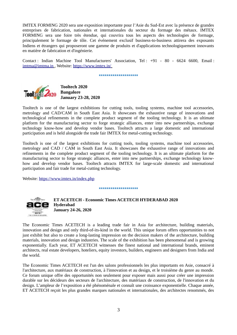IMTEX FORMING 2020 sera une exposition importante pour l'Asie du Sud-Est avec la présence de grandes entreprises de fabrication, nationales et internationales du secteur du formage des métaux. IMTEX FORMING sera une foire très étendue, qui couvrira tous les aspects des technologies de formage, principalement le formage de tôle. Cet événement exclusif business-to-business attirera des exposants Indiens et étrangers qui proposeront une gamme de produits et d'applications technologiquement innovants en matière de fabrication et d'ingénierie.

Contact : Indian Machine Tool Manufacturers' Association, Tel : +91 - 80 - 6624 6600, Email :  [imtma@imtma.in](mailto:imtma@imtma.in) , Website:<https://www.imtex.in/>

#### \*\*\*\*\*\*\*\*\*\*\*\*\*\*\*\*\*\*\*



**Tooltech 2020 Bangalore January 23-28, 2020**

Tooltech is one of the largest exhibitions for cutting tools, tooling systems, machine tool accessories, metrology and CAD/CAM in South East Asia. It showcases the exhaustive range of innovations and technological refinements in the complete product segment of the tooling technology. It is an ultimate platform for the manufacturing sector to forge strategic alliances, enter into new partnerships, exchange technology know-how and develop vendor bases. Tooltech attracts a large domestic and international participation and is held alongside the trade fair IMTEX for metal-cutting technology.

Tooltech is one of the largest exhibitions for cutting tools, tooling systems, machine tool accessories, metrology and CAD / CAM in South East Asia. It showcases the exhaustive range of innovations and refinements in the complete product segment of the tooling technology. It is an ultimate platform for the manufacturing sector to forge strategic alliances, enter into new partnerships, exchange technology knowhow and develop vendor bases. Tooltech attracts IMTEX for large-scale domestic and international participation and fair trade for metal-cutting technology.

Website:<https://www.imtex.in/index.php>

#### \*\*\*\*\*\*\*\*\*\*\*\*\*\*\*\*\*\*\*\*



**ET ACETECH - Economic Times ACETECH HYDERABAD 2020 Hyderabad January 24-26, 2020**

The Economic Times ACETECH is a leading trade fair in Asia for architecture, building materials, innovation and design and only third-of-its-kind in the world. This unique forum offers opportunities to not just exhibit but also to create a long-lasting impression on the decision makers of the architecture, building materials, innovation and design industries. The scale of the exhibition has been phenomenal and is growing exponentially. Each year, ET ACETECH witnesses the finest national and international brands, eminent architects, real estate developers, hoteliers, equity investors, builders, engineers and designers from India and the world.

The Economic Times ACETECH est l'un des salons professionnels les plus importants en Asie, consacré à l'architecture, aux matériaux de construction, à l'innovation et au design, et le troisième du genre au monde. Ce forum unique offre des opportunités non seulement pour exposer mais aussi pour créer une impression durable sur les décideurs des secteurs de l'architecture, des matériaux de construction, de l'innovation et du design. L'ampleur de l'exposition a été phénoménale et connaît une croissance exponentielle. Chaque année, ET ACETECH reçoit les plus grandes marques nationales et internationales, des architectes renommés, des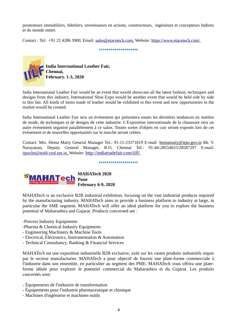promoteurs immobiliers, hôteliers, investisseurs en actions, constructeurs, ingénieurs et concepteurs Indiens et du monde entier.

\*\*\*\*\*\*\*\*\*\*\*\*\*\*\*\*\*\*\*\*

Contact : Tel: +91 22 4286 3900, Email: [sales@etacetech.com,](mailto:sales@etacetech.com) Website:<https://www.etacetech.com/>

**India International Leather Fair, Chennai, February. 1-3, 2020**

India International Leather Fair would be an event that would showcase all the latest fashion, techniques and designs from this industry. International Shoe Expo would be another event that would be held side by side to this fair. All kinds of items made of leather would be exhibited in this event and new opportunities in the market would be created.

India International Leather Fair sera un événement qui présentera toutes les dernières tendances en matière de mode, de techniques et de designs de cette industrie. L'Exposition internationale de la chaussure sera un autre événement organisé parallèlement à ce salon. Toutes sortes d'objets en cuir seront exposés lors de cet événement et de nouvelles opportunités sur le marché seront créées.

Contact: Mrs. Hema Maity General Manager Tel.: 91-11-23371819 E-mail: [hemamaity@itpo.gov.in](mailto:hemamaity@itpo.gov.in) Mr. V. Narayanan, Deputy General Manager, R.O, Chennai Tel.: 91-44-28554655/28587297 E-mail: itpochn@md4.vsnl.net.in, Website: <http://indiatradefair.com/iilf/>

\*\*\*\*\*\*\*\*\*\*\*\*\*\*\*\*\*\*\*\*



MAHATech is an exclusive B2B industrial exhibition, focusing on the vast industrial products required by the manufacturing industry. MAHATech aims to provide a business platform to industry at large, in particular the SME segment. MAHATech will offer an ideal platform for you to explore the business potential of Maharashtra and Gujarat. Products concerned are :

-Process Industry Equipments

-Pharma & Chemical Industry Equipments

- Engineering Machinery & Machine Tools
- Electrical, Electronics, Instrumentation & Automation
- Technical Consultancy, Banking & Financial Services

MAHATech est une exposition industrielle B2B exclusive, axée sur les vastes produits industriels requis par le secteur manufacturier. MAHATech a pour objectif de fournir une plate-forme commerciale à l'industrie dans son ensemble, en particulier au segment des PME. MAHATech vous offrira une plateforme idéale pour explorer le potentiel commercial du Maharashtra et du Gujarat. Les produits concernés sont:

- Équipements de l'industrie de transformation
- Équipements pour l'industrie pharmaceutique et chimique
- Machines d'ingénierie et machines-outils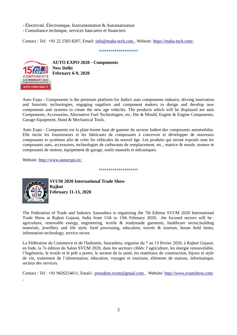- Électricité, Électronique, Instrumentation & Automatisation

- Consultance technique, services bancaires et financiers

Contact : Tel: +91 22 2583 8207, Email: [info@maha-tech.com](mailto:info@maha-tech.com) , Website:<https://maha-tech.com/>

\*\*\*\*\*\*\*\*\*\*\*\*\*\*\*\*\*\*\*\*



**AUTO EXPO 2020 - Components New Delhi February 6-9, 2020**

Auto Expo - Components is the premium platform for India's auto components industry, driving innovation and futuristic technologies, engaging suppliers and component makers to design and develop new components and systems to create the new age vehicles. The products which will be displayed are auto Components, Accessories, Alternative Fuel Technologies, etc, Die & Mould, Engine & Engine Components, Garage Equipment, Hand & Mechanical Tools.

Auto Expo - Components est la plate-forme haut de gamme du secteur Indien des composants automobiles. Elle incite les fournisseurs et les fabricants de composants à concevoir et développer de nouveaux composants et systèmes afin de créer les véhicules du nouvel âge. Les produits qui seront exposés sont les composants auto, accessoires, technologies de carburants de remplacement, etc., matrice & moule, moteur et composants de moteur, équipement de garage, outils manuels et mécaniques.

\*\*\*\*\*\*\*\*\*\*\*\*\*\*\*\*\*\*\*\*

Website [: http://www.autoexpo.in/](http://www.autoexpo.in/)



**SVUM 2020 International Trade Show Rajkot February 11-13, 2020**

The Federation of Trade and Industry Saurashtra is organizing the 7th Edition SVUM 2020 International Trade Show at Rajkot Gujarat, India from 11th to 13th February 2020, the focused sectors will be : agriculture, renewable energy, engineering, textile & readymade garments, healthcare sector,building materials, jewellery and life style, food processing, education, travels & tourism, house hold items, information technology, service sector.

La Fédération du Commerce et de l'Industrie, Saurashtra, organise du 7 au 13 février 2020, à Rajkot Gujarat, en Inde, la 7e édition du Salon SVUM 2020, dans les secteurs ciblés: l'agriculture, les énergie renouvelable, l'Ingénierie, le textile et le prêt a porter, le secteur de la santé, les matériaux de construction, bijoux et style de vie, traitement de l'alimentation, éducation, voyages et tourisme, éléments de maison, informatique, secteur des services.

Contact : Tel : +91 9426254611, Email:- [president.svum@gmail.com](mailto:president.svum@gmail.com) , Website:<http://www.svumshow.com/>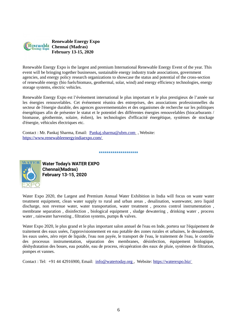

Renewable Energy Expo is the largest and premium International Renewable Energy Event of the year. This event will be bringing together businesses, sustainable energy industry trade associations, government agencies, and energy policy research organizations to showcase the status and potential of the cross-section of renewable energy (bio fuels/biomass, geothermal, solar, wind) and energy efficiency technologies, energy storage systems, electric vehicles.

Renewable Energy Expo est l'événement international le plus important et le plus prestigieux de l'année sur les énergies renouvelables. Cet événement réunira des entreprises, des associations professionnelles du secteur de l'énergie durable, des agences gouvernementales et des organismes de recherche sur les politiques énergétiques afin de présenter le statut et le potentiel des différentes énergies renouvelables (biocarburants / biomasse, géothermie, solaire, éolien), les technologies d'efficacité énergétique, systèmes de stockage d'énergie, véhicules électriques etc.

Contact : Mr. Pankaj Sharma, Email: [Pankaj.sharma@ubm.com](mailto:Pankaj.sharma@ubm.com) , Website: <https://www.renewableenergyindiaexpo.com/>

\*\*\*\*\*\*\*\*\*\*\*\*\*\*\*\*\*\*\*\*



 **Water Today's WATER EXPO Chennai(Madras) February 13-15, 2020**

Water Expo 2020, the Largest and Premium Annual Water Exhibition in India will focus on waste water treatment equipment, clean water supply to rural and urban areas , desalination, wastewater, zero liquid discharge, non revenue water, water transportation, water treatment , process control instrumentation , membrane separation , disinfection , biological equipment , sludge dewatering , drinking water , process water , rainwater harvesting , filtration systems, pumps & valves.

Water Expo 2020, le plus grand et le plus important salon annuel de l'eau en Inde, portera sur l'équipement de traitement des eaux usées, l'approvisionnement en eau potable des zones rurales et urbaines, le dessalement, les eaux usées, zéro rejet de liquide, l'eau non payée, le transport de l'eau, le traitement de l'eau, le contrôle des processus instrumentation, séparation des membranes, désinfection, équipement biologique, déshydratation des boues, eau potable, eau de process, récupération des eaux de pluie, systèmes de filtration, pompes et vannes.

Contact : Tel: +91 44 42916900, Email: [info@watertoday.org](mailto:info@watertoday.org) , Website:<https://waterexpo.biz/>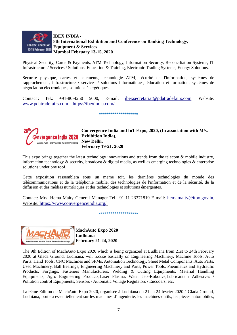

Physical Security, Cards & Payments, ATM Technology, Information Security, Reconciliation Systems, IT Infrastructure / Services / Solutions, Education & Training, Electronic Trading Systems, Energy Solutions.

Sécurité physique, cartes et paiements, technologie ATM, sécurité de l'information, systèmes de rapprochement, infrastructure / services / solutions informatiques, éducation et formation, systèmes de négociation électroniques, solutions énergétiques.

Contact : Tel.: +91-80-4250 5000, E-mail: [ibexsecretariat@pdatradefairs.com](mailto:ibexsecretariat@pdatradefairs.com), Website:  [www.pdatradefairs.com](http://www.pdatradefairs.com/) , <https://ibexindia.com/>

\*\*\*\*\*\*\*\*\*\*\*\*\*\*\*\*\*\*\*



**Convergence India and IoT Expo, 2020, (In association with M/s. Exhibition India), New Delhi, February 19-21, 2020**

This expo brings together the latest technology innovations and trends from the telecom & mobile industry, information technology & security, broadcast & digital media, as well as emerging technologies & enterprise solutions under one roof.

Cette exposition rassemblera sous un meme toit, les dernières technologies du monde des télécommunications et de la téléphonie mobile, des technologies de l'information et de la sécurité, de la diffusion et des médias numériques et des technologies et solutions émergentes.

Contact: Mrs. Hema Maity General Manager Tel.: 91-11-23371819 E-mail: [hemamaity@itpo.gov.in](mailto:hemamaity@itpo.gov.in), Website: <https://www.convergenceindia.org/>

\*\*\*\*\*\*\*\*\*\*\*\*\*\*\*\*\*\*\*



**MachAuto Expo 2020 Ludhiana February 21-24, 2020**

The 9th Edition of MachAuto Expo 2020 which is being organized at Ludhiana from 21st to 24th February 2020 at Glada Ground, Ludhiana, will focuse basically on Engineering Machinery, Machine Tools, Auto Parts, Hand Tools, CNC Machines and SPMs, Automation Technology, Sheet Metal Components, Auto Parts, Used Machinery, Ball Bearings, Engineering Machinery and Parts, Power Tools, Pneumatics and Hydraulic Products, Forgings, Fasteners Manufacturers, Welding & Cutting Equipments, Material Handling Equipments, Agro Engineering Products,Laser Plasma, Water Jets-Robotics,Lubricants / Adhesives / Pollution control Equipments, Sensors / Automatic Voltage Regulators / Encoders, etc.

La 9ème Edition de MachAuto Expo 2020, organisée à Ludhiana du 21 au 24 février 2020 à Glada Ground, Ludhiana, portera essentiellement sur les machines d'ingénierie, les machines-outils, les pièces automobiles,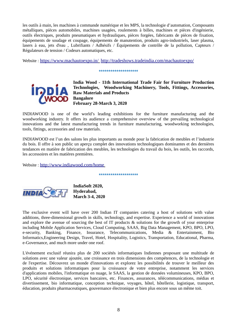les outils à main, les machines à commande numérique et les MPS, la technologie d'automation, Composants métalliques, pièces automobiles, machines usagées, roulements à billes, machines et pièces d'ingénierie, outils électriques, produits pneumatiques et hydrauliques, pièces forgées, fabricants de pièces de fixation, équipements de soudage et coupage, équipements de manutention, produits agro-industriels, laser plasma, lasers à eau, jets d'eau , Lubrifiants / Adhésifs / Équipements de contrôle de la pollution, Capteurs / Régulateurs de tension / Codeurs automatiques, etc.

Website : <https://www.machautoexpo.in/> <http://tradeshows.tradeindia.com/machautoexpo/>

#### \*\*\*\*\*\*\*\*\*\*\*\*\*\*\*\*\*\*\*\*



**India Wood - 11th International Trade Fair for Furniture Production Technologies, Woodworking Machinery, Tools, Fittings, Accessories, Raw Materials and Products Bangalore February 28-March 3, 2020**

INDIAWOOD is one of the world's leading exhibitions for the furniture manufacturing and the woodworking industry. It offers its audience a comprehensive overview of the prevailing technological innovations and the latest manufacturing trends in furniture manufacturing, woodworking technologies, tools, fittings, accessories and raw materials.

INDIAWOOD est l'un des salons les plus importants au monde pour la fabrication de meubles et l'industrie du bois. Il offre à son public un aperçu complet des innovations technologiques dominantes et des dernières tendances en matière de fabrication des meubles, les technologies du travail du bois, les outils, les raccords, les accessoires et les matières premières.

Website : <http://www.indiawood.com/home>

\*\*\*\*\*\*\*\*\*\*\*\*\*\*\*\*\*\*\*\*



**IndiaSoft 2020, Hyderabad, March 3-4, 2020**

The exclusive event will have over 200 Indian IT companies catering a host of solutions with value additions, three-dimensional growth in skills, technology, and expertise. Experience a world of innovations and explore the avenue of sourcing the best of IT products & solutions for the growth of your enterprise including Mobile Application Services, Cloud Computing, SAAS, Big Data Management, KPO, BPO, LPO, e-security, Banking, Finance, Insurance, Telecommunications, Media & Entertainment, Bio Informatics,Engineering Design, Travel, Hotel, Hospitality, Logistics, Transportation, Educational, Pharma, e-Governance, and much more under one roof.

L'événement exclusif réunira plus de 200 sociétés informatiques Indiennes proposant une multitude de solutions avec une valeur ajoutée, une croissance en trois dimensions des compétences, de la technologie et de l'expertise. Découvrez un monde d'innovations et explorez les possibilités de trouver le meilleur des produits et solutions informatiques pour la croissance de votre entreprise, notamment les services d'applications mobiles, l'informatique en nuage, le SAAS, la gestion de données volumineuses, KPO, BPO, LPO, sécurité électronique, services bancaires, etc. Finances, assurances, télécommunications, médias et divertissement, bio informatique, conception technique, voyages, hôtel, hôtellerie, logistique, transport, éducation, produits pharmaceutiques, gouvernance électronique et bien plus encore sous un même toit.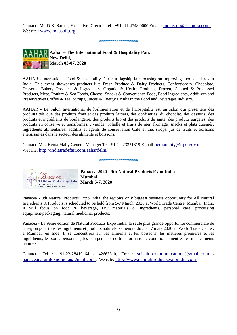Contact : Mr. D.K. Sareen, Executive Director, Tel : +91- 11-4748 0000 Email : [indiasoft@escindia.com](mailto:indiasoft@escindia.com) , Website : [www.indiasoft.org](http://www.indiasoft.org/)

\*\*\*\*\*\*\*\*\*\*\*\*\*\*\*\*\*\*\*\*



AAHAR - International Food & Hospitality Fair is a flagship fair focusing on improving food standards in India. This event showcases products like Fresh Produce & Dairy Products, Confectionery, Chocolate, Desserts, Bakery Products & Ingredients, Organic & Health Products, Frozen, Canned & Processed Products, Meat, Poultry & Sea Foods, Cheese, Snacks & Convenience Food, Food Ingredients, Additives and Preservatives Coffee & Tea, Syrups, Juices & Energy Drinks in the Food and Beverages industry.

AAHAR - Le Salon International de l'Alimentation et de l'Hospitalité est un salon qui présentera des produits tels que des produits frais et des produits laitiers, des confiseries, du chocolat, des desserts, des produits et ingrédients de boulangerie, des produits bio et des produits de santé, des produits surgelés, des produits en conserve et transformés. , viande, volaille et fruits de mer, fromage, snacks et plats cuisinés, ingrédients alimentaires, additifs et agents de conservation Café et thé, sirops, jus de fruits et boissons énergisantes dans le secteur des aliments et boissons.

Contact: Mrs. Hema Maity General Manager Tel.: 91-11-23371819 E-mail: hemamaity @itpo.gov.in, Website:<http://indiatradefair.com/aahardelhi/>

\*\*\*\*\*\*\*\*\*\*\*\*\*\*\*\*\*\*\*\*



 **Panacea 2020 - 9th Natural Products Expo India March 5-7, 2020**

Panacea - 9th Natural Products Expo India, the region's only biggest business opportunity for All Natural Ingredients & Products is scheduled to be held from 5-7 March, 2020 at World Trade Centre, Mumbai, India. It will focus on food & beverage, raw materials & ingredients, personal care, processing equipment/packaging, natural medicinal products.

Panacea - La 9ème édition de Natural Products Expo India, la seule plus grande opportunité commerciale de la région pour tous les ingrédients et produits naturels, se tiendra du 5 au 7 mars 2020 au World Trade Center, à Mumbai, en Inde. Il se concentrera sur les aliments et les boissons, les matières premières et les ingrédients, les soins personnels, les équipements de transformation / conditionnement et les médicaments naturels.

Contact: Tel :  $+91-22-28410164$  /  $42663310$ , Email: seishidocommunications @gmail.com /  [panaceanaturalexpoindia@gmail.com](mailto:panaceanaturalexpoindia@gmail.com) , Website: [http://www.naturalproductsexpoindia.com](http://www.naturalproductsexpoindia.com/)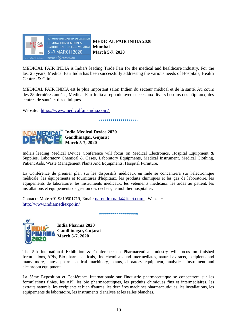

 **MEDICAL FAIR INDIA 2020 Mumbai March 5-7, 2020**

MEDICAL FAIR INDIA is India's leading Trade Fair for the medical and healthcare industry. For the last 25 years, Medical Fair India has been successfully addressing the various needs of Hospitals, Health Centres & Clinics.

MEDICAL FAIR INDIA est le plus important salon Indien du secteur médical et de la santé. Au cours des 25 dernières années, Medical Fair India a répondu avec succès aux divers besoins des hôpitaux, des centres de santé et des cliniques.

Website: <https://www.medicalfair-india.com/>

\*\*\*\*\*\*\*\*\*\*\*\*\*\*\*\*\*\*\*\*\*



**India Medical Device 2020 Gandhinagar, Gujarat March 5-7, 2020**

India's leading Medical Device Conference will focus on Medical Electronics, Hospital Equipment & Supplies, Laboratory Chemical & Gases, Laboratory Equipments, Medical Instrument, Medical Clothing, Patient Aids, Waste Management Plants And Equipments, Hospital Furniture.

La Conférence de premier plan sur les dispositifs médicaux en Inde se concentrera sur l'électronique médicale, les équipements et fournitures d'hôpitaux, les produits chimiques et les gaz de laboratoire, les équipements de laboratoire, les instruments médicaux, les vêtements médicaux, les aides au patient, les installations et équipements de gestion des déchets, le mobilier hospitalier.

\*\*\*\*\*\*\*\*\*\*\*\*\*\*\*\*\*\*\*\*

Contact : Mob: +91 9819501719, Email: [narendra.naik@ficci.com](mailto:narendra.naik@ficci.com) , Website: <http://www.indiamediexpo.in/>

**India Pharma 2020 Gandhinagar, Gujarat March 5-7, 2020**

The 5th International Exhibition & Conference on Pharmaceutical Industry will focus on finished formulations, APIs, Bio-pharmaceuticals, fine chemicals and intermediates, natural extracts, excipients and many more, latest pharmaceutical machinery, plants, laboratory equipment, analytical Instrument and cleanroom equipment.

La 5ème Exposition et Conférence Internationale sur l'industrie pharmaceutique se concentrera sur les formulations finies, les API, les bio pharmaceutiques, les produits chimiques fins et intermédiaires, les extraits naturels, les excipients et bien d'autres, les dernières machines pharmaceutiques, les installations, les équipements de laboratoire, les instruments d'analyse et les salles blanches.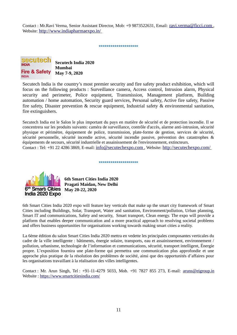Contact : Mr.Ravi Verma, Senior Assistant Director, Mob: +9 9873522631, Email: [ravi.verma@ficci.com](mailto:ravi.verma@ficci.com) , Website: <http://www.indiapharmaexpo.in/>

\*\*\*\*\*\*\*\*\*\*\*\*\*\*\*\*\*\*\*\*



Secutech India is the country's most premier security and fire safety product exhibition, which will focus on the following products : Surveillance camera, Access control, Intrusion alarm, Physical security and perimeter, Police equipment, Transmission, Management platform, Building automation / home automation, Security guard services, Personal safety, Active fire safety, Passive fire safety, Disaster prevention & rescue equipment, Industrial safety & environmental sanitation, fire extinguishers.

Secutech India est le Salon le plus important du pays en matière de sécurité et de protection incendie. Il se concentrera sur les produits suivants: caméra de surveillance, contrôle d'accès, alarme anti-intrusion, sécurité physique et périmètre, équipement de police, transmission, plate-forme de gestion, services de sécurité, sécurité personnelle, sécurité incendie active, sécurité incendie passive, prévention des catastrophes & équipements de secours, sécurité industrielle et assainissement de l'environnement, extincteurs. Contact : Tel: +91 22 4286 3869, E-mail: [info@secutechexpo.com](mailto:info@secutechexpo.com) , Website: <http://secutechexpo.com/>

\*\*\*\*\*\*\*\*\*\*\*\*\*\*\*\*\*\*\*\*

## 6<sup>th</sup> Smart Cities India 2020 Expo

 **6th Smart Cities India 2020 Pragati Maidan, New Delhi May 20-22, 2020** 

6th Smart Cities India 2020 expo will feature key verticals that make up the smart city framework of Smart Cities including Buildings, Solar, Transport, Water and sanitation, Environment/pollution, Urban planning, Smart IT and communications, Safety and security, Smart transport, Clean energy. The expo will provide a platform that enables deeper communication and a more practical approach to resolving societal problems and offers business opportunities for organisations working towards making smart cities a reality.

La 6ème édition du salon Smart Cities India 2020 mettra en vedette les principales composantes verticales du cadre de la ville intelligente : bâtiments, énergie solaire, transports, eau et assainissement, environnement / pollution, urbanisme, technologie de l'information et communications, sécurité, transport intelligent, Énergie propre. L'exposition fournira une plate-forme qui permettra une communication plus approfondie et une approche plus pratique de la résolution des problèmes de société, ainsi que des opportunités d'affaires pour les organisations travaillant à la réalisation des villes intelligentes.

Contact : Mr. Arun Singh, Tel : +91-11-4279 5033, Mob. +91 7827 855 273, E-mail: [aruns@eigroup.in](mailto:aruns@eigroup.in) Website :<https://www.smartcitiesindia.com/>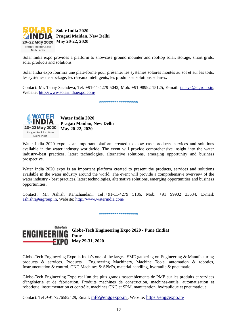

Solar India expo provides a platform to showcase ground mounter and rooftop solar, storage, smart grids, solar products and solutions.

Solar India expo fournira une plate-forme pour présenter les systèmes solaires montés au sol et sur les toits, les systèmes de stockage, les réseaux intelligents, les produits et solutions solaires.

Contact: Mr. Tanay Sachdeva, Tel: +91-11-4279 5042, Mob. +91 98992 15125, E-mail: [tanays@eigroup.in,](mailto:tanays@eigroup.in) Website:<http://www.solarindiaexpo.com/>

\*\*\*\*\*\*\*\*\*\*\*\*\*\*\*\*\*\*\*\*



Globe-Tech

**ENGINEE** 

**Water India 2020 Pragati Maidan, New Delhi May 20-22, 2020** 

Water India 2020 expo is an important platform created to show case products, services and solutions available in the water industry worldwide. The event will provide comprehensive insight into the water industry–best practices, latest technologies, alternative solutions, emerging opportunity and business prospective.

Water India 2020 expo is an important platform created to present the products, services and solutions available in the water industry around the world. The event will provide a comprehensive overview of the water industry - best practices, latest technologies, alternative solutions, emerging opportunities and business opportunities.

Contact : Mr. Ashish Ramchandani, Tel :+91-11-4279 5186, Mob. +91 99902 33634, E-mail: [ashishr@eigroup.in,](mailto:ashishr@eigroup.in) Website:<http://www.waterindia.com/>

\*\*\*\*\*\*\*\*\*\*\*\*\*\*\*\*\*\*\*\*

**Globe-Tech Engineering Expo 2020 - Pune (India) Pune May 29-31, 2020**

Globe-Tech Engineering Expo is India's one of the largest SME gathering on Engineering & Manufacturing products & services. Products Engineering Machinery, Machine Tools, automation & robotics, Instrumentation & control, CNC Machines & SPM's, material handling, hydraulic & pneumatic .

Globe-Tech Engineering Expo est l'un des plus grands rassemblements de PME sur les produits et services d'ingénierie et de fabrication. Produits machines de construction, machines-outils, automatisation et robotique, instrumentation et contrôle, machines CNC et SPM, manutention, hydraulique et pneumatique.

Contact: Tel :+91 7276582429, Email: [info@enggexpo.in](mailto:info@enggexpo.in) , Website: <https://enggexpo.in/>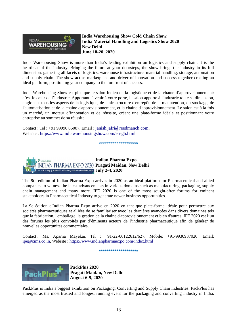

**India Warehousing Show Cold Chain Show, India Material Handling and Logistics Show 2020 New Delhi June 18-20, 2020** 

India Warehousing Show is more than India's leading exhibition on logistics and supply chain: it is the heartbeat of the industry. Bringing the future at your doorsteps, the show brings the industry in its full dimension, gathering all facets of logistics, warehouse infrastructure, material handling, storage, automation and supply chain. The show act as marketplace and driver of innovation and success together creating an ideal platform, positioning your company to the forefront of success.

India Warehousing Show est plus que le salon Indien de la logistique et de la chaîne d'approvisionnement: c'est le cœur de l'industrie. Apportant l'avenir à votre porte, le salon apporte à l'industrie toute sa dimension, englobant tous les aspects de la logistique, de l'infrastructure d'entrepôt, de la manutention, du stockage, de l'automatisation et de la chaîne d'approvisionnement, et la chaîne d'approvisionnement. Le salon est à la fois un marché, un moteur d'innovation et de réussite, créant une plate-forme idéale et positionnant votre entreprise au sommet de sa réussite.

Contact : Tel : +91 99996 86007, Email : [janish.jafri@reedmanch.com](mailto:janish.jafri@reedmanch.com), Website : <https://www.indiawarehousingshow.com/en-gb.html>

\*\*\*\*\*\*\*\*\*\*\*\*\*\*\*\*\*\*\*



The 9th edition of Indian Pharma Expo arrives in 2020 as an ideal platform for Pharmaceutical and allied companies to witness the latest advancements in various domains such as manufacturing, packaging, supply chain management and many more. IPE 2020 is one of the most sought-after forums for eminent stakeholders in Pharmaceutical Industry to generate newer business opportunities.

La 9e édition d'Indian Pharma Expo arrive en 2020 en tant que plate-forme idéale pour permettre aux sociétés pharmaceutiques et alliées de se familiariser avec les dernières avancées dans divers domaines tels que la fabrication, l'emballage, la gestion de la chaîne d'approvisionnement et bien d'autres. IPE 2020 est l'un des forums les plus convoités par d'éminents acteurs de l'industrie pharmaceutique afin de générer de nouvelles opportunités commerciales.

Contact : Ms. Aparna Mayekar, Tel : +91-22-66122612/627, Mobile: +91-9930937020, Email: [ipe@cims.co.in,](mailto:ipe@cims.co.in) Website :<https://www.indianpharmaexpo.com/index.html>

\*\*\*\*\*\*\*\*\*\*\*\*\*\*\*\*\*\*\*\*



**PackPlus 2020 Pragati Maidan, New Delhi August 6-9, 2020** 

PackPlus is India's biggest exhibition on Packaging, Converting and Supply Chain industries. PackPlus has emerged as the most trusted and longest running event for the packaging and converting industry in India.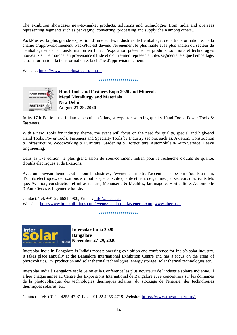The exhibition showcases new-to-market products, solutions and technologies from India and overseas representing segments such as packaging, converting, processing and supply chain among others..

PackPlus est la plus grande exposition d'Inde sur les industries de l'emballage, de la transformation et de la chaîne d'approvisionnement. PackPlus est devenu l'événement le plus fiable et le plus ancien du secteur de l'emballage et de la transformation en Inde. L'exposition présente des produits, solutions et technologies nouveaux sur le marché, en provenance d'Inde et d'outre-mer, représentant des segments tels que l'emballage, la transformation, la transformation et la chaîne d'approvisionnement.

Website:<https://www.packplus.in/en-gb.html>

\*\*\*\*\*\*\*\*\*\*\*\*\*\*\*\*\*\*



 **Hand Tools and Fastners Expo 2020 and Mineral, Metal Metallurgy and Materials New Delhi August 27-29, 2020**

In its 17th Edition, the Indian subcontinent's largest expo for sourcing quality Hand Tools, Power Tools & Fasteners.

With a new 'Tools for industry' theme, the event will focus on the need for quality, special and high-end Hand Tools, Power Tools, Fasteners and Specialty Tools by Industry sectors, such as, Aviation, Construction & Infrastructure, Woodworking & Furniture, Gardening & Horticulture, Automobile & Auto Service, Heavy Engineering.

Dans sa 17e édition, le plus grand salon du sous-continent indien pour la recherche d'outils de qualité, d'outils électriques et de fixations.

Avec un nouveau thème «Outils pour l'industrie», l'événement mettra l'accent sur le besoin d'outils à main, d'outils électriques, de fixations et d'outils spéciaux, de qualité et haut de gamme, par secteurs d'activité, tels que: Aviation, construction et infrastructure, Menuiserie & Meubles, Jardinage et Horticulture, Automobile & Auto Service, Ingénierie lourde.

Contact: Tel: +91 22 6681 4900, Email : [info@abec.asia,](mailto:info@abec.asia) Website : [http://www.ite-exhibitions.com/events/handtools-fasteners-expo,](http://www.ite-exhibitions.com/events/handtools-fasteners-expo) [www.abec.asia](http://www.abec.asia/)

\*\*\*\*\*\*\*\*\*\*\*\*\*\*\*\*\*\*



**Intersolar India 2020 Bangalore November 27-29, 2020**

Intersolar India in Bangalore is India's most pioneering exhibition and conference for India's solar industry. It takes place annually at the Bangalore International Exhibition Centre and has a focus on the areas of photovoltaics, PV production and solar thermal technologies, energy storage, solar thermal technologies etc.

Intersolar India à Bangalore est le Salon et la Conférence les plus novateurs de l'industrie solaire Indienne. Il a lieu chaque année au Centre des Expositions International de Bangalore et se concentrera sur les domaines de la photovoltaïque, des technologies thermiques solaires, du stockage de l'énergie, des technologies thermiques solaires, etc.

Contact : Tel: +91 22 4255-4707, Fax: +91 22 4255-4719, Website: <https://www.thesmartere.in/>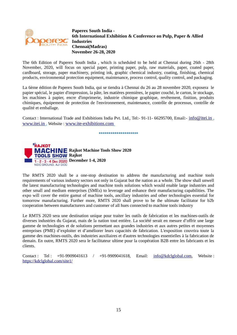

**Paperex South India - 6th International Exhibition & Conference on Pulp, Paper & Allied Industries Chennai(Madras) November 26-28, 2020**

The 6th Edition of Paperex South India , which is scheduled to be held at Chennai during 26th - 28th November, 2020, will focus on special paper, printing paper, pulp, raw materials, paper, coated paper, cardboard, storage, paper machinery, printing ink, graphic chemical industry, coating, finishing, chemical products, environmental protection equipment, maintenance, process control, quality control, and packaging.

La 6ème édition de Paperex South India, qui se tiendra à Chennai du 26 au 28 novembre 2020, exposera le papier spécial, le papier d'impression, la pâte, les matières premières, le papier couché, le carton, le stockage, les machines à papier, encre d'imprimerie, industrie chimique graphique, revêtement, finition, produits chimiques, équipement de protection de l'environnement, maintenance, contrôle de processus, contrôle de qualité et emballage.

Contact : International Trade and Exhibitions India Pvt. Ltd., Tel:- 91-11- 66295700, Email:- [info@itei.in](mailto:info@itei.in) ,  [www.itei.in](http://www.itei.in/) , Website : [www.ite-exhibitions.com](http://www.ite-exhibitions.com/)

\*\*\*\*\*\*\*\*\*\*\*\*\*\*\*\*\*\*\*



The RMTS 2020 shall be a one-stop destination to address the manufacturing and machine tools requirements of various industry sectors not only in Gujarat but the nation as a whole. The show shall unwell the latest manufacturing technologies and machine tools solutions which would enable large industries and other small and medium enterprises (SMEs) to leverage and enhance their manufacturing capabilities. The expo will cover the entire gamut of machine tools, ancillary industries and other technologies essential for tomorrow manufacturing. Further more, RMTS 2020 shall prove to be the ultimate facilitator for b2b cooperation between manufacturers and customer of all hues connected to machine tools industry

Le RMTS 2020 sera une destination unique pour traiter les outils de fabrication et les machines-outils de diverses industries du Gujarat, mais de la nation tout entière. La société serait en mesure d'offrir une large gamme de technologies et de solutions permettant aux grandes industries et aux autres petites et moyennes entreprises (PME) d'exploiter et d'améliorer leurs capacités de fabrication. L'exposition couvrira toute la gamme des machines-outils, des industries auxiliaires et d'autres technologies essentielles à la fabrication de demain. En outre, RMTS 2020 sera le facilitateur ultime pour la coopération B2B entre les fabricants et les clients.

Contact : Tel : +91-9909041613 / +91-9909041618, Email: [info@kdclglobal.com,](mailto:info@kdclglobal.com) Website : <https://kdclglobal.com/site1/>